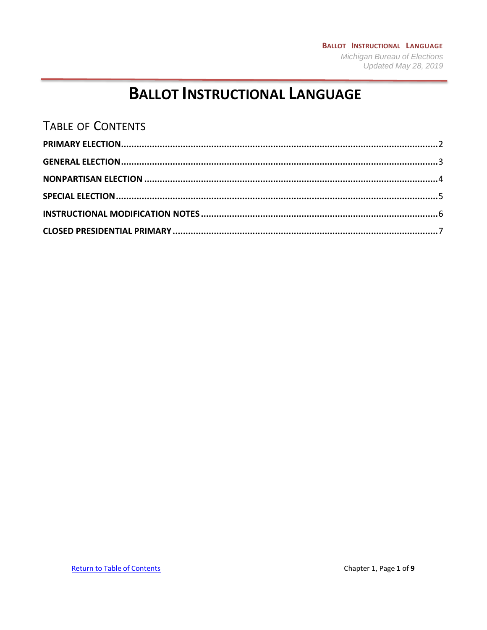### **BALLOT INSTRUCTIONAL LANGUAGE Michigan Bureau of Elections** Updated May 28, 2019

# **BALLOT INSTRUCTIONAL LANGUAGE**

# <span id="page-0-0"></span>**TABLE OF CONTENTS**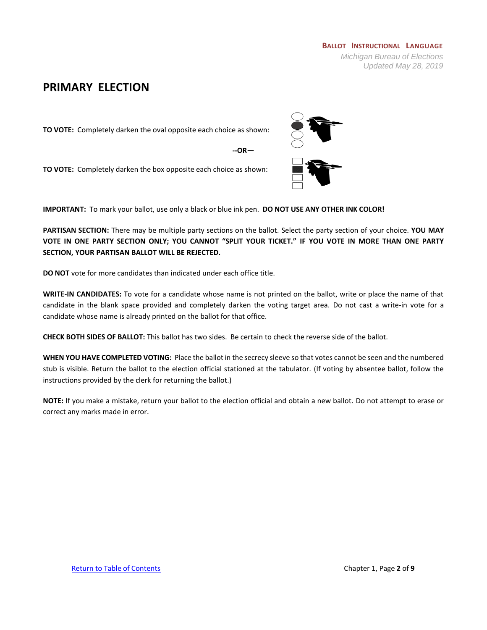### <span id="page-1-0"></span>**PRIMARY ELECTION**

**TO VOTE:** Completely darken the oval opposite each choice as shown:

**--OR—**

**TO VOTE:** Completely darken the box opposite each choice as shown:

**IMPORTANT:** To mark your ballot, use only a black or blue ink pen. **DO NOT USE ANY OTHER INK COLOR!**

**PARTISAN SECTION:** There may be multiple party sections on the ballot. Select the party section of your choice. **YOU MAY VOTE IN ONE PARTY SECTION ONLY; YOU CANNOT "SPLIT YOUR TICKET." IF YOU VOTE IN MORE THAN ONE PARTY SECTION, YOUR PARTISAN BALLOT WILL BE REJECTED.**

**DO NOT** vote for more candidates than indicated under each office title.

**WRITE-IN CANDIDATES:** To vote for a candidate whose name is not printed on the ballot, write or place the name of that candidate in the blank space provided and completely darken the voting target area. Do not cast a write-in vote for a candidate whose name is already printed on the ballot for that office.

**CHECK BOTH SIDES OF BALLOT:** This ballot has two sides. Be certain to check the reverse side of the ballot.

**WHEN YOU HAVE COMPLETED VOTING:** Place the ballot in the secrecy sleeve so that votes cannot be seen and the numbered stub is visible. Return the ballot to the election official stationed at the tabulator. (If voting by absentee ballot, follow the instructions provided by the clerk for returning the ballot.)

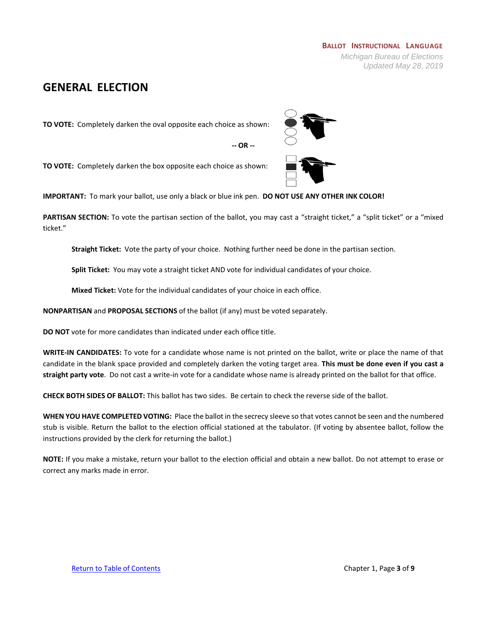## <span id="page-2-0"></span>**GENERAL ELECTION**

**TO VOTE:** Completely darken the oval opposite each choice as shown:



**TO VOTE:** Completely darken the box opposite each choice as shown:

**IMPORTANT:** To mark your ballot, use only a black or blue ink pen. **DO NOT USE ANY OTHER INK COLOR!**

PARTISAN SECTION: To vote the partisan section of the ballot, you may cast a "straight ticket," a "split ticket" or a "mixed ticket."

**-- OR --**

**Straight Ticket:** Vote the party of your choice. Nothing further need be done in the partisan section.

**Split Ticket:** You may vote a straight ticket AND vote for individual candidates of your choice.

**Mixed Ticket:** Vote for the individual candidates of your choice in each office.

**NONPARTISAN** and **PROPOSAL SECTIONS** of the ballot (if any) must be voted separately.

**DO NOT** vote for more candidates than indicated under each office title.

**WRITE-IN CANDIDATES:** To vote for a candidate whose name is not printed on the ballot, write or place the name of that candidate in the blank space provided and completely darken the voting target area. **This must be done even if you cast a straight party vote**. Do not cast a write-in vote for a candidate whose name is already printed on the ballot for that office.

**CHECK BOTH SIDES OF BALLOT:** This ballot has two sides. Be certain to check the reverse side of the ballot.

**WHEN YOU HAVE COMPLETED VOTING:** Place the ballot in the secrecy sleeve so that votes cannot be seen and the numbered stub is visible. Return the ballot to the election official stationed at the tabulator. (If voting by absentee ballot, follow the instructions provided by the clerk for returning the ballot.)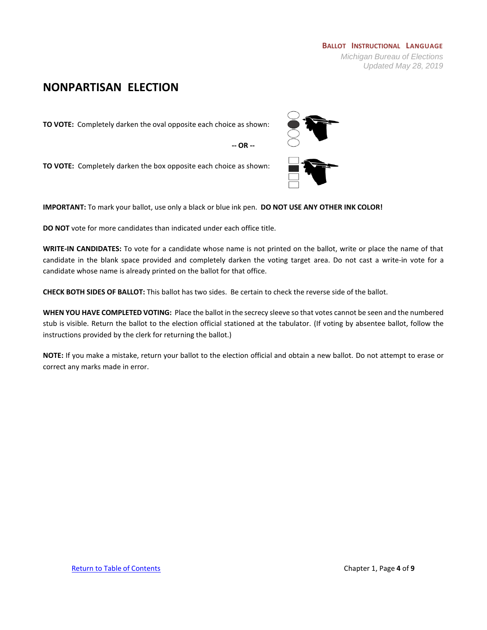### <span id="page-3-0"></span>**NONPARTISAN ELECTION**

**TO VOTE:** Completely darken the oval opposite each choice as shown:

**-- OR --**

**TO VOTE:** Completely darken the box opposite each choice as shown:

**IMPORTANT:** To mark your ballot, use only a black or blue ink pen. **DO NOT USE ANY OTHER INK COLOR!**

**DO NOT** vote for more candidates than indicated under each office title.

**WRITE-IN CANDIDATES:** To vote for a candidate whose name is not printed on the ballot, write or place the name of that candidate in the blank space provided and completely darken the voting target area. Do not cast a write-in vote for a candidate whose name is already printed on the ballot for that office.

**CHECK BOTH SIDES OF BALLOT:** This ballot has two sides. Be certain to check the reverse side of the ballot.

**WHEN YOU HAVE COMPLETED VOTING:** Place the ballot in the secrecy sleeve so that votes cannot be seen and the numbered stub is visible. Return the ballot to the election official stationed at the tabulator. (If voting by absentee ballot, follow the instructions provided by the clerk for returning the ballot.)

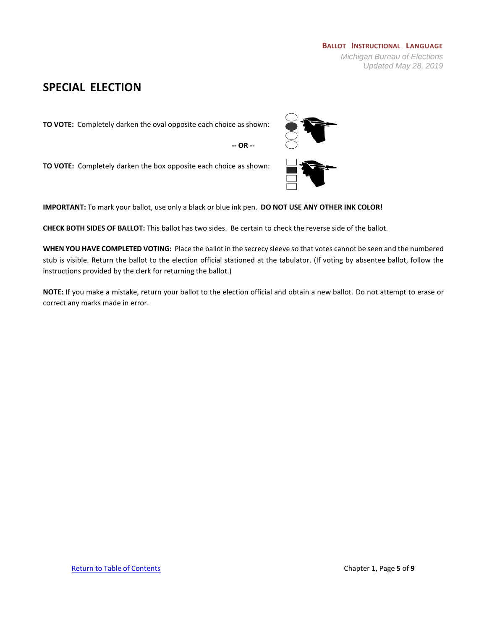## <span id="page-4-0"></span>**SPECIAL ELECTION**

**TO VOTE:** Completely darken the oval opposite each choice as shown:

**-- OR --**

**TO VOTE:** Completely darken the box opposite each choice as shown:

**IMPORTANT:** To mark your ballot, use only a black or blue ink pen. **DO NOT USE ANY OTHER INK COLOR!**

**CHECK BOTH SIDES OF BALLOT:** This ballot has two sides. Be certain to check the reverse side of the ballot.

**WHEN YOU HAVE COMPLETED VOTING:** Place the ballot in the secrecy sleeve so that votes cannot be seen and the numbered stub is visible. Return the ballot to the election official stationed at the tabulator. (If voting by absentee ballot, follow the instructions provided by the clerk for returning the ballot.)



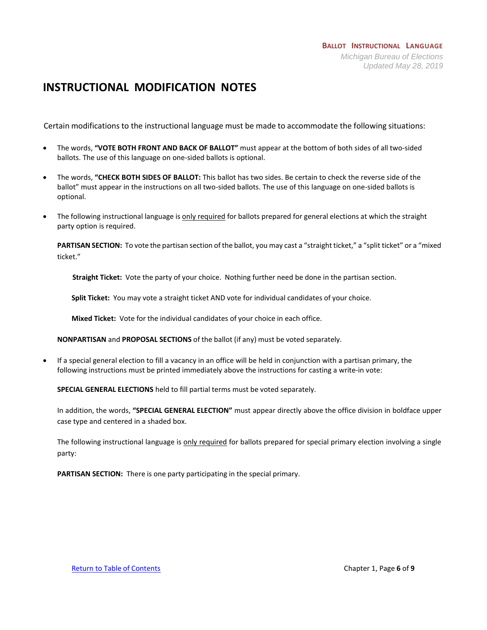### **BALLOT INSTRUCTIONAL LANGUAGE** *Michigan Bureau of Elections Updated May 28, 2019*

# <span id="page-5-0"></span>**INSTRUCTIONAL MODIFICATION NOTES**

Certain modifications to the instructional language must be made to accommodate the following situations:

- The words, **"VOTE BOTH FRONT AND BACK OF BALLOT"** must appear at the bottom of both sides of all two-sided ballots. The use of this language on one-sided ballots is optional.
- The words, **"CHECK BOTH SIDES OF BALLOT:** This ballot has two sides. Be certain to check the reverse side of the ballot" must appear in the instructions on all two-sided ballots. The use of this language on one-sided ballots is optional.
- The following instructional language is only required for ballots prepared for general elections at which the straight party option is required.

**PARTISAN SECTION:** To vote the partisan section of the ballot, you may cast a "straight ticket," a "split ticket" or a "mixed ticket."

**Straight Ticket:** Vote the party of your choice. Nothing further need be done in the partisan section.

**Split Ticket:** You may vote a straight ticket AND vote for individual candidates of your choice.

**Mixed Ticket:** Vote for the individual candidates of your choice in each office.

**NONPARTISAN** and **PROPOSAL SECTIONS** of the ballot (if any) must be voted separately.

• If a special general election to fill a vacancy in an office will be held in conjunction with a partisan primary, the following instructions must be printed immediately above the instructions for casting a write-in vote:

**SPECIAL GENERAL ELECTIONS** held to fill partial terms must be voted separately.

In addition, the words, **"SPECIAL GENERAL ELECTION"** must appear directly above the office division in boldface upper case type and centered in a shaded box.

The following instructional language is only required for ballots prepared for special primary election involving a single party:

**PARTISAN SECTION:** There is one party participating in the special primary.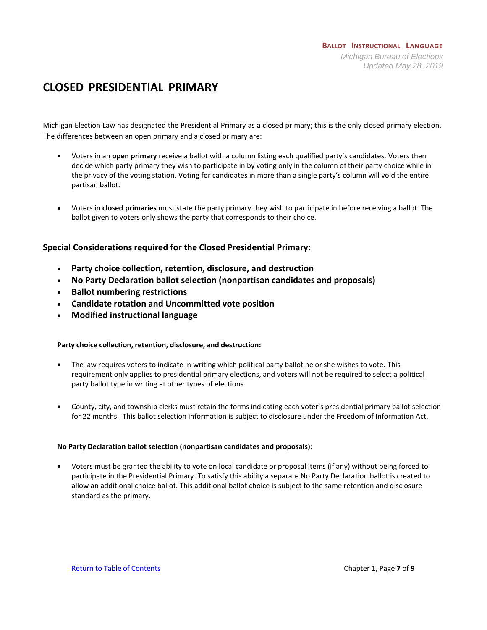# <span id="page-6-0"></span>**CLOSED PRESIDENTIAL PRIMARY**

Michigan Election Law has designated the Presidential Primary as a closed primary; this is the only closed primary election. The differences between an open primary and a closed primary are:

- Voters in an **open primary** receive a ballot with a column listing each qualified party's candidates. Voters then decide which party primary they wish to participate in by voting only in the column of their party choice while in the privacy of the voting station. Voting for candidates in more than a single party's column will void the entire partisan ballot.
- Voters in **closed primaries** must state the party primary they wish to participate in before receiving a ballot. The ballot given to voters only shows the party that corresponds to their choice.

### **Special Considerations required for the Closed Presidential Primary:**

- **Party choice collection, retention, disclosure, and destruction**
- **No Party Declaration ballot selection (nonpartisan candidates and proposals)**
- **Ballot numbering restrictions**
- **Candidate rotation and Uncommitted vote position**
- **Modified instructional language**

### **Party choice collection, retention, disclosure, and destruction:**

- The law requires voters to indicate in writing which political party ballot he or she wishes to vote. This requirement only applies to presidential primary elections, and voters will not be required to select a political party ballot type in writing at other types of elections.
- County, city, and township clerks must retain the forms indicating each voter's presidential primary ballot selection for 22 months. This ballot selection information is subject to disclosure under the Freedom of Information Act.

### **No Party Declaration ballot selection (nonpartisan candidates and proposals):**

• Voters must be granted the ability to vote on local candidate or proposal items (if any) without being forced to participate in the Presidential Primary. To satisfy this ability a separate No Party Declaration ballot is created to allow an additional choice ballot. This additional ballot choice is subject to the same retention and disclosure standard as the primary.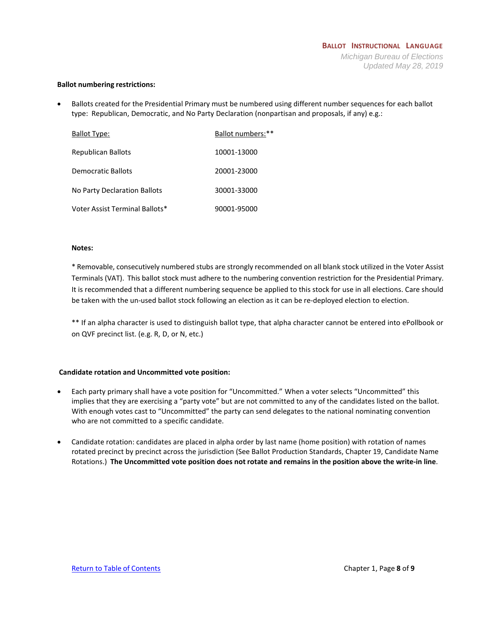#### **Ballot numbering restrictions:**

• Ballots created for the Presidential Primary must be numbered using different number sequences for each ballot type: Republican, Democratic, and No Party Declaration (nonpartisan and proposals, if any) e.g.:

| <b>Ballot Type:</b>            | Ballot numbers:** |
|--------------------------------|-------------------|
| Republican Ballots             | 10001-13000       |
| Democratic Ballots             | 20001-23000       |
| No Party Declaration Ballots   | 30001-33000       |
| Voter Assist Terminal Ballots* | 90001-95000       |

#### **Notes:**

\* Removable, consecutively numbered stubs are strongly recommended on all blank stock utilized in the Voter Assist Terminals (VAT). This ballot stock must adhere to the numbering convention restriction for the Presidential Primary. It is recommended that a different numbering sequence be applied to this stock for use in all elections. Care should be taken with the un-used ballot stock following an election as it can be re-deployed election to election.

\*\* If an alpha character is used to distinguish ballot type, that alpha character cannot be entered into ePollbook or on QVF precinct list. (e.g. R, D, or N, etc.)

### **Candidate rotation and Uncommitted vote position:**

- Each party primary shall have a vote position for "Uncommitted." When a voter selects "Uncommitted" this implies that they are exercising a "party vote" but are not committed to any of the candidates listed on the ballot. With enough votes cast to "Uncommitted" the party can send delegates to the national nominating convention who are not committed to a specific candidate.
- Candidate rotation: candidates are placed in alpha order by last name (home position) with rotation of names rotated precinct by precinct across the jurisdiction (See Ballot Production Standards, Chapter 19, Candidate Name Rotations.) **The Uncommitted vote position does not rotate and remains in the position above the write-in line**.